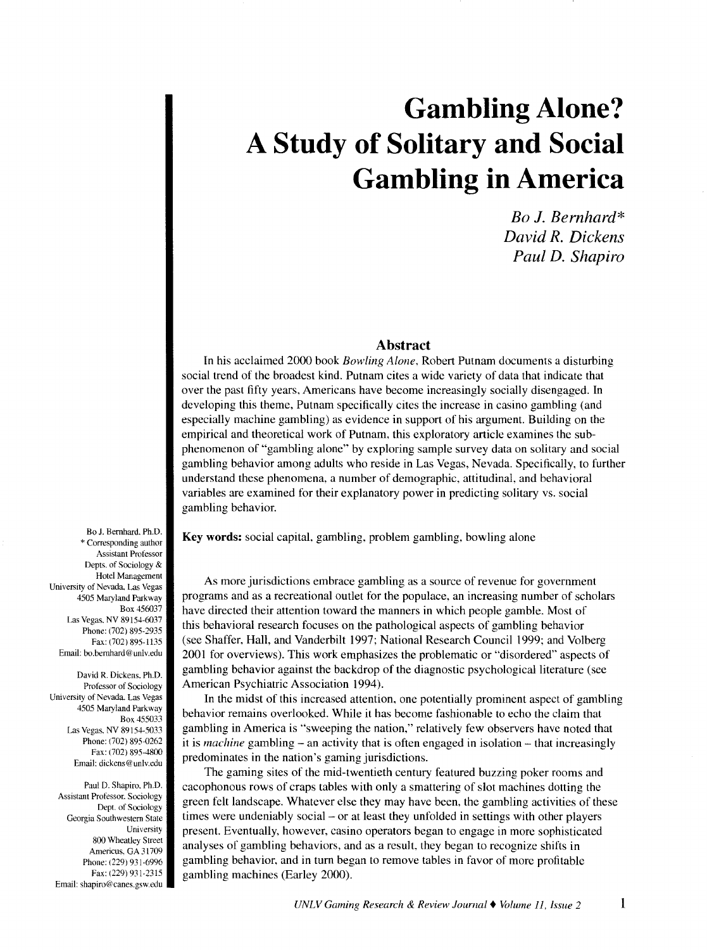# **Gambling Alone? A Study of Solitary and Social Gambling in America**

*Bo* J. *Bernhard\* David R. Dickens Paul D. Shapiro* 

## **Abstract**

In his acclaimed 2000 book *Bowling Alone.* Robert Putnam documents a disturbing social trend of the broadest kind. Putnam cites a wide variety of data that indicate that over the past fifty years, Americans have become increasingly socially disengaged. In developing this theme, Putnam specifically cites the increase in casino gambling (and especially machine gambling) as evidence in support of his argument. Building on the empirical and theoretical work of Putnam, this exploratory article examines the subphenomenon of "gambling alone" by exploring sample survey data on solitary and social gambling behavior among adults who reside in Las Vegas, Nevada. Specifically, to further understand these phenomena, a number of demographic, attitudinal, and behavioral variables are examined for their explanatory power in predicting solitary vs. social gambling behavior.

Key words: social capital, gambling, problem gambling, bowling alone

As more jurisdictions embrace gambling as a source of revenue for government programs and as a recreational outlet for the populace, an increasing number of scholars have directed their attention toward the manners in which people gamble. Most of this behavioral research focuses on the pathological aspects of gambling behavior (see Shaffer, Hall, and Vanderbilt 1997; National Research Council 1999; and Volberg 2001 for overviews). This work emphasizes the problematic or "disordered" aspects of gambling behavior against the backdrop of the diagnostic psychological literature (see American Psychiatric Association 1994).

In the midst of this increased attention, one potentially prominent aspect of gambling behavior remains overlooked. While it has become fashionable to echo the claim that gambling in America is "sweeping the nation," relatively few observers have noted that it is *machine* gambling – an activity that is often engaged in isolation – that increasingly predominates in the nation's gaming jurisdictions.

The gaming sites of the mid-twentieth century featured buzzing poker rooms and cacophonous rows of craps tables with only a smattering of slot machines dotting the green felt landscape. Whatever else they may have been, the gambling activities of these times were undeniably social – or at least they unfolded in settings with other players present. Eventually, however, casino operators began to engage in more sophisticated analyses of gambling behaviors, and as a result. they began to recognize shifts in gambling behavior, and in turn began to remove tables in favor of more profitable gambling machines (Earley 2000).

Bo J. Bernhard. Ph.D. \* Corresponding author Assistant Professor Depts. of Sociology & Hotel Management University of Nevada, Las Vegas 4505 Maryland Parkway Box 456037 Las Vegas. NV 89154-6037 Phone: (702) 895-2935 Fax: (702) 895-1135 Email: bo.bemhard@unlv.edu

David R. Dickens. Ph.D. Professor of Sociology University of Nevada. Las Vegas 4505 Maryland Parkway Box 455033 Las Vegas. NV 89154-5033 Phone: (702) 895-0262 Fax: (702) 895-4800 Email: dickens@unlv.edu

Paul D. Shapiro. Ph.D. Assistant Professor. Sociology Dept. of Sociology Georgia Southwestern State University 800 Wheatley Street Americus. GA 31709 Phone: (229) 931-6996 Fax: (229) 931-2315 Email: shapiro@canes.gsw.edu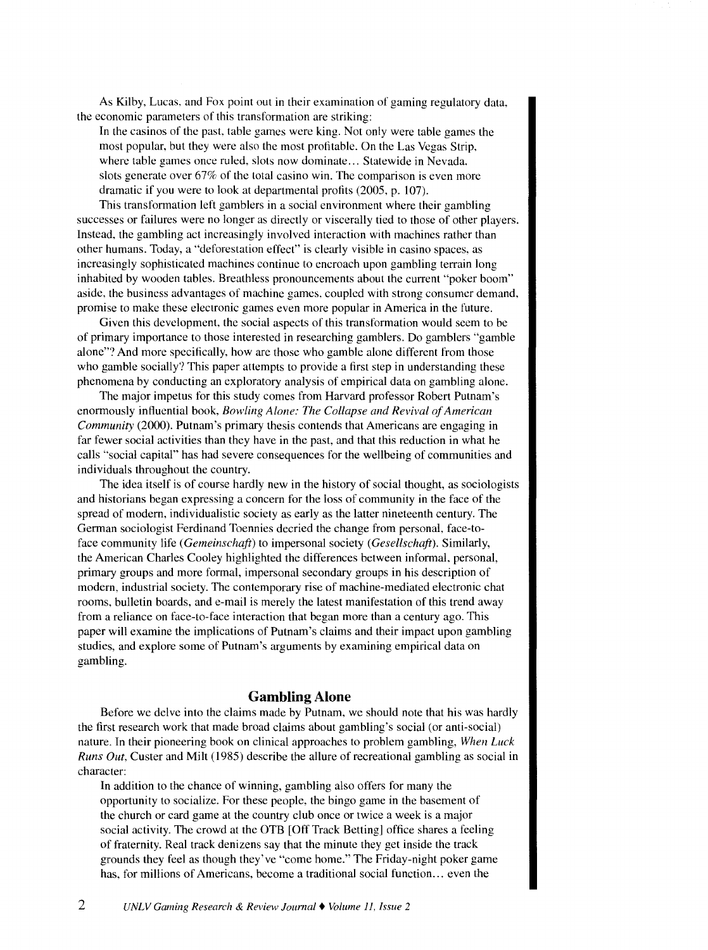As Kilby, Lucas. and Fox point out in their examination of gaming regulatory data. the economic parameters of this transformation are striking:

In the casinos of the past. table games were king. Not only were table games the most popular, but they were also the most profitable. On the Las Vegas Strip, where table games once ruled, slots now dominate... Statewide in Nevada. slots generate over 67% of the total casino win. The comparison is even more dramatic if you were to look at departmental profits (2005, p. 107).

This transformation left gamblers in a social environment where their gambling successes or failures were no longer as directly or viscerally tied to those of other players. Instead, the gambling act increasingly involved interaction with machines rather than other humans. Today, a "deforestation effect" is clearly visible in casino spaces. as increasingly sophisticated machines continue to encroach upon gambling terrain long inhabited by wooden tables. Breathless pronouncements about the current "poker boom" aside, the business advantages of machine games. coupled with strong consumer demand, promise to make these electronic games even more popular in America in the future.

Given this development. the social aspects of this transformation would seem to be of primary importance to those interested in researching gamblers. Do gamblers "gamble alone"? And more specifically, how are those who gamble alone different from those who gamble socially? This paper attempts to provide a first step in understanding these phenomena by conducting an exploratory analysis of empirical data on gambling alone.

The major impetus for this study comes from Harvard professor Robert Putnam's enormously influential book, *Bowling Alone: The Collapse and Revival of American Community* (2000). Putnam's primary thesis contends that Americans are engaging in far fewer social activities than they have in the past, and that this reduction in what he calls "social capital" has had severe consequences for the wellbeing of communities and individuals throughout the country.

The idea itself is of course hardly new in the history of social thought, as sociologists and historians began expressing a concern for the loss of community in the face of the spread of modern, individualistic society as early as the latter nineteenth century. The German sociologist Ferdinand Toennies decried the change from personal, face-toface community life *(Gemeinschaft)* to impersonal society *(Gesellschaft).* Similarly, the American Charles Cooley highlighted the ditierences between informal. personal, primary groups and more formal, impersonal secondary groups in his description of modern, industrial society. The contemporary rise of machine-mediated electronic chat rooms, bulletin boards, and e-mail is merely the latest manifestation of this trend away from a reliance on face-to-face interaction that began more than a century ago. This paper will examine the implications of Putnam's claims and their impact upon gambling studies, and explore some of Putnam's arguments by examining empirical data on gambling.

## **Gambling Alone**

Before we delve into the claims made by Putnam, we should note that his was hardly the first research work that made broad claims about gambling's social (or anti-social) nature. In their pioneering book on clinical approaches to problem gambling, *When Luck Runs Out*, Custer and Milt (1985) describe the allure of recreational gambling as social in character:

In addition to the chance of winning, gambling also offers for many the opportunity to socialize. For these people, the bingo game in the basement of the church or card game at the country club once or twice a week is a major social activity. The crowd at the OTB [Off Track Betting] office shares a feeling of fraternity. Real track denizens say that the minute they get inside the track grounds they feel as though they've "come home." The Friday-night poker game has, for millions of Americans, become a traditional social function... even the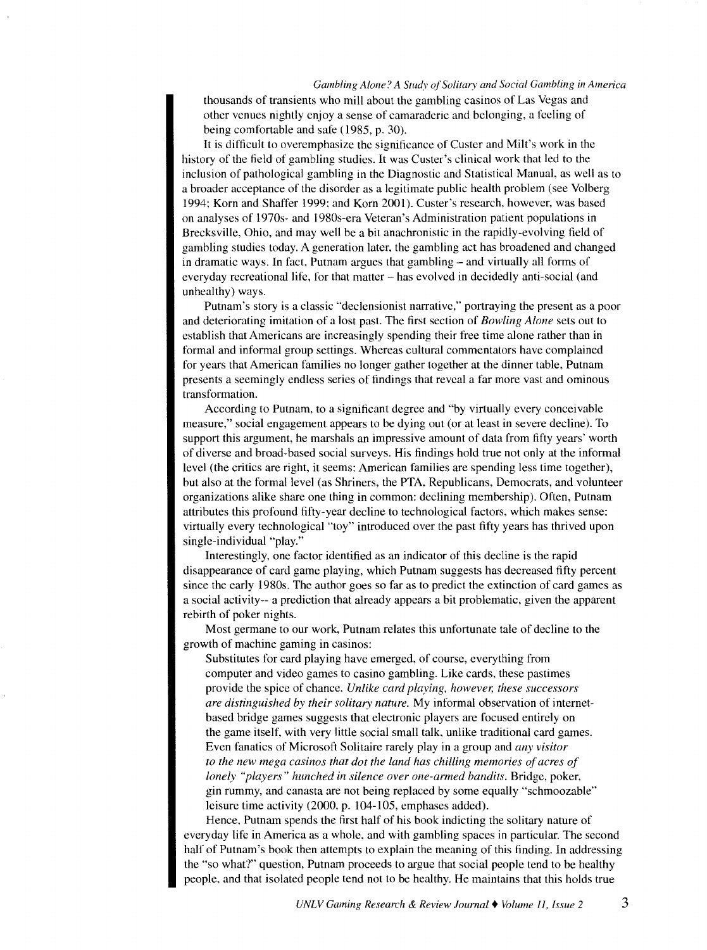#### *Gambling Alone? A Study of Solitary and Social Gambling in America*

thousands of transients who mill about the gambling casinos of Las Vegas and other venues nightly enjoy a sense of camaraderie and belonging, a feeling of being comfortable and safe ( 1985, p. 30).

It is difficult to overemphasize the significance of Custer and Milt's work in the history of the field of gambling studies. It was Custer's clinical work that led to the inclusion of pathological gambling in the Diagnostic and Statistical Manual, as well as to a broader acceptance of the disorder as a legitimate public health problem (see Volberg 1994; Korn and Shaffer 1999: and Korn 2001). Custer's research, however. was based on analyses of 1970s- and 1980s-era Veteran's Administration patient populations in Brecksville, Ohio, and may well be a bit anachronistic in the rapidly-evolving field of gambling studies today. A generation later, the gambling act has broadened and changed in dramatic ways. In fact. Putnam argues that gambling- and virtually all forms of everyday recreational life, for that matter- has evolved in decidedly anti-social (and unhealthy) ways.

Putnam's story is a classic "declensionist narrative," portraying the present as a poor and deteriorating imitation of a lost past. The first section of *Bowling Alone* sets out to establish that Americans are increasingly spending their free time alone rather than in formal and informal group settings. Whereas cultural commentators have complained for years that American families no longer gather together at the dinner table. Putnam presents a seemingly endless series of findings that reveal a far more vast and ominous transformation.

According to Putnam, to a significant degree and "by virtually every conceivable measure," social engagement appears to be dying out (or at least in severe decline). To support this argument, he marshals an impressive amount of data from fifty years' worth of diverse and broad-based social surveys. His findings hold true not only at the informal level (the critics are right, it seems: American families are spending less time together), but also at the formal level (as Shriners, the PTA. Republicans, Democrats, and volunteer organizations alike share one thing in common: declining membership). Often, Putnam attributes this profound fifty-year decline to technological factors, which makes sense: virtually every technological "toy" introduced over the past fifty years has thrived upon single-individual "play."

Interestingly, one factor identified as an indicator of this decline is the rapid disappearance of card game playing, which Putnam suggests has decreased fifty percent since the early 1980s. The author goes so far as to predict the extinction of card games as a social activity-- a prediction that already appears a bit problematic, given the apparent rebirth of poker nights.

Most germane to our work, Putnam relates this unfortunate tale of decline to the growth of machine gaming in casinos:

Substitutes for card playing have emerged. of course, everything from computer and video games to casino gambling. Like cards, these pastimes provide the spice of chance. *Unlike card playing, however, these successors are distinguished by their solitary nature.* My informal observation of internetbased bridge games suggests that electronic players are focused entirely on the game itself. with very little social small talk. unlike traditional card games. Even fanatics of Microsoft Solitaire rarely play in a group and *any visitor*  to the new mega casinos that dot the land has chilling memories of acres of *lonely "players" hunched in silence over one-armed bandits.* Bridge, poker, gin rummy, and canasta are not being replaced by some equally "schmoozable" leisure time activity (2000, p. 104-105, emphases added).

Hence, Putnam spends the first half of his book indicting the solitary nature of everyday life in America as a whole. and with gambling spaces in particular. The second half of Putnam's book then attempts to explain the meaning of this finding. In addressing the "so what?" question, Putnam proceeds to argue that social people tend to be healthy people. and that isolated people tend not to be healthy. He maintains that this holds true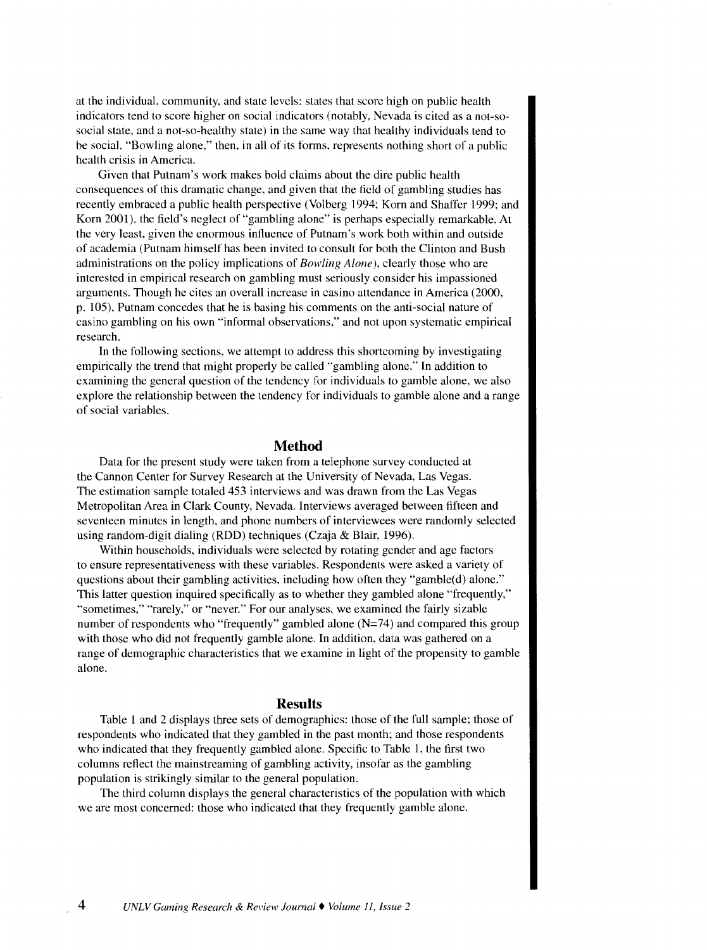at the individual, community. and state levels: states that score high on public health indicators tend to score higher on social indicators (notably, Nevada is cited as a not-sosocial state, and a not-so-healthy state) in the same way that healthy individuals tend to be social. "Bowling alone." then, in all of its forms, represents nothing short of a public health crisis in America.

Given that Putnam's work makes bold claims about the dire public health consequences of this dramatic change. and given that the field of gambling studies has recently embraced a public health perspective (Volberg 1994; Korn and Shaffer 1999; and Korn 2001), the field's neglect of "gambling alone" is perhaps especially remarkable. At the very least, given the enormous influence of Putnam's work both within and outside of academia (Putnam himself has been invited to consult for both the Clinton and Bush administrations on the policy implications of *Bowling Alone),* clearly those who are interested in empirical research on gambling must seriously consider his impassioned arguments. Though he cites an overall increase in casino attendance in America (2000, p. l 05), Putnam concedes that he is basing his comments on the anti-social nature of casino gambling on his own "informal observations," and not upon systematic empirical research.

In the following sections. we attempt to address this shortcoming by investigating empirically the trend that might properly be called "gambling alone." In addition to examining the general question of the tendency for individuals to gamble alone, we also explore the relationship between the tendency for individuals to gamble alone and a range of social variables.

## **Method**

Data for the present study were taken from a telephone survey conducted at the Cannon Center for Survey Research at the University of Nevada, Las Vegas. The estimation sample totaled 453 interviews and was drawn from the Las Vegas Metropolitan Area in Clark County, Nevada. Interviews averaged between fifteen and seventeen minutes in length, and phone numbers of interviewees were randomly selected using random-digit dialing (RDD) techniques (Czaja & Blair, 1996).

Within households, individuals were selected by rotating gender and age factors to ensure representativeness with these variables. Respondents were asked a variety of questions about their gambling activities, including how often they "gamble(d) alone." This latter question inquired specifically as to whether they gambled alone "frequently," "sometimes," "rarely," or "never." For our analyses, we examined the fairly sizable number of respondents who "frequently" gambled alone  $(N=74)$  and compared this group with those who did not frequently gamble alone. In addition, data was gathered on a range of demographic characteristics that we examine in light of the propensity to gamble alone.

## **Results**

Table 1 and 2 displays three sets of demographics: those of the full sample; those of respondents who indicated that they gambled in the past month; and those respondents who indicated that they frequently gambled alone. Specific to Table 1, the first two columns reflect the mainstreaming of gambling activity, insofar as the gambling population is strikingly similar to the general population.

The third column displays the general characteristics of the population with which we are most concerned: those who indicated that they frequently gamble alone.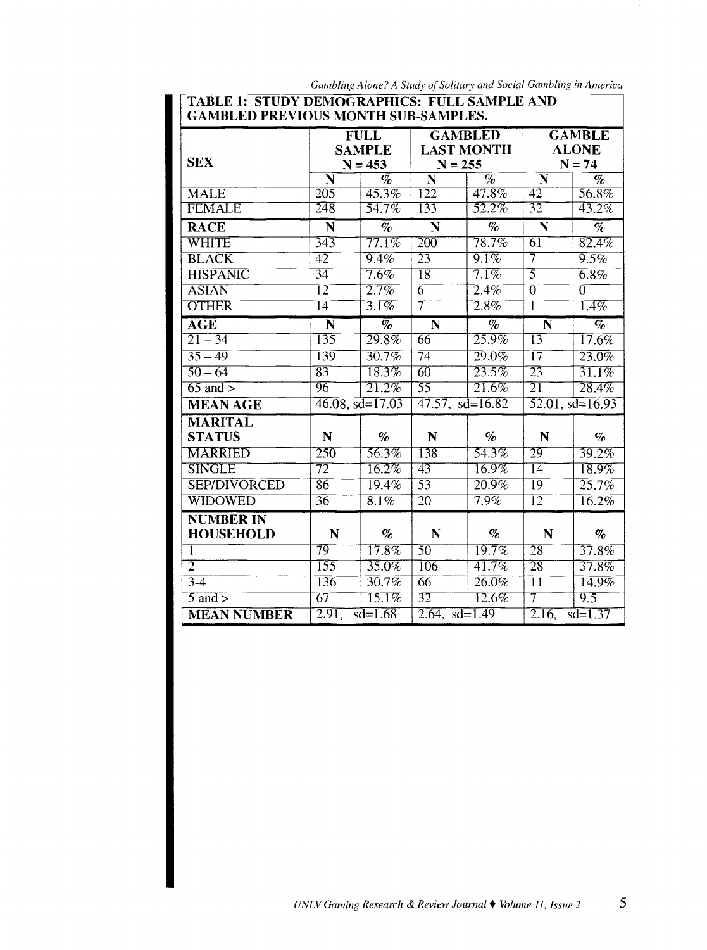| Gambling Alone? A Study of Solitary and Social Gambling in America |  |
|--------------------------------------------------------------------|--|
|--------------------------------------------------------------------|--|

|  | TABLE 1: STUDY DEMOGRAPHICS: FULL SAMPLE AND |  |  |  |
|--|----------------------------------------------|--|--|--|
|  | GAMBLED PREVIOUS MONTH SUB-SAMPLES.          |  |  |  |

| GAMDLED FREVIOUS MONTH SUD-SAMFLES. |                       |                                           |                                                  |                                          |                         |                                                                                     |
|-------------------------------------|-----------------------|-------------------------------------------|--------------------------------------------------|------------------------------------------|-------------------------|-------------------------------------------------------------------------------------|
| <b>SEX</b>                          |                       | <b>FULL</b><br><b>SAMPLE</b><br>$N = 453$ | <b>GAMBLED</b><br><b>LAST MONTH</b><br>$N = 255$ |                                          |                         | <b>GAMBLE</b><br><b>ALONE</b><br>$N = 74$                                           |
|                                     | N                     | $\%$                                      | N                                                | $\overline{\mathcal{C}_{\!\mathcal{O}}}$ | N                       | $\mathcal{O}_{\mathcal{O}}$                                                         |
| <b>MALE</b>                         | $\overline{205}$      | 45.3%                                     | 122                                              | 47.8%                                    | 42                      | 56.8%                                                                               |
| <b>FEMALE</b>                       | $\overline{248}$      | 54.7%                                     | 133                                              | 52.2%                                    | $\overline{32}$         | $43.2\%$                                                                            |
| <b>RACE</b>                         | $\overline{\bf N}$    | $\overline{\mathcal{C}_{\ell}}$           | N                                                | $\overline{\mathcal{C}_{\!\!R}}$         | $\overline{\bf N}$      | $\overline{\mathcal{C}_{\!\!R}}$                                                    |
| WHITE                               | 343                   | $77.1\%$                                  | $\overline{200}$                                 | $78.7\%$                                 | $\overline{61}$         | 82.4%                                                                               |
| <b>BLACK</b>                        | $\overline{42}$       | 9.4%                                      | 23                                               | $9.1\%$                                  | $\overline{7}$          | 9.5%                                                                                |
| <b>HISPANIC</b>                     | $\overline{34}$       | $7.6\%$                                   | $\overline{18}$                                  | 7.1%                                     | $\overline{5}$          | $6.8\%$                                                                             |
| <b>ASIAN</b>                        | $\overline{12}$       | 2.7%                                      | $\overline{6}$                                   | 2.4%                                     | $\overline{0}$          | $\overline{0}$                                                                      |
| <b>OTHER</b>                        | $\overline{14}$       | $3.1\%$                                   | $\overline{7}$                                   | 2.8%                                     | T                       | $1.4\%$                                                                             |
| <b>AGE</b>                          | $\overline{\bf N}$    | $\overline{\mathcal{C}_{\ell}}$           | $\overline{\bf N}$                               | $\overline{\mathcal{C}_{\!\!f\!o}}$      | $\overline{\mathbf{N}}$ | $\overline{\mathcal{C}_{\hspace{-1pt}/\hspace{-1pt}/\hspace{-1pt}}\hspace{0.25pt}}$ |
| $21 - 34$                           | 135                   | 29.8%                                     | 66                                               | 25.9%                                    | $\overline{13}$         | 17.6%                                                                               |
| $35 - 49$                           | 139                   | 30.7%                                     | $\overline{74}$                                  | $29.0\%$                                 | $\overline{17}$         | 23.0%                                                                               |
| $50 - 64$                           | $\overline{83}$       | 18.3%                                     | $\overline{60}$                                  | 23.5%                                    | $\overline{23}$         | 31.1%                                                                               |
| $65$ and $>$                        | 96                    | $21.2\%$                                  | $\overline{55}$                                  | 21.6%                                    | $\overline{21}$         | $\overline{28.4\%}$                                                                 |
| <b>MEAN AGE</b>                     | $46.08$ , sd= $17.03$ |                                           | $47.57, sd=16.82$                                |                                          |                         | $52.01$ , sd=16.93                                                                  |
| <b>MARITAL</b>                      |                       |                                           |                                                  |                                          |                         |                                                                                     |
| <b>STATUS</b>                       | $\mathbf N$           | $\%$                                      | N                                                | $\%$                                     | N                       | $\%$                                                                                |
| <b>MARRIED</b>                      | 250                   | 56.3%                                     | 138                                              | 54.3%                                    | 29                      | 39.2%                                                                               |
| <b>SINGLE</b>                       | $\overline{72}$       | 16.2%                                     | 43                                               | $16.9\%$                                 | $\overline{14}$         | 18.9%                                                                               |
| <b>SEP/DIVORCED</b>                 | 86                    | 19.4%                                     | $\overline{53}$                                  | $20.9\%$                                 | $\overline{19}$         | $\overline{25.7\%}$                                                                 |
| WIDOWED                             | $\overline{36}$       | $8.1\%$                                   | $\overline{20}$                                  | $7.9\%$                                  | $\overline{12}$         | $16.2\%$                                                                            |
| <b>NUMBER IN</b>                    |                       |                                           |                                                  |                                          |                         |                                                                                     |
| <b>HOUSEHOLD</b>                    | N                     | $\%$                                      | N                                                | $\%$                                     | N                       | $\%$                                                                                |
| 1                                   | 79                    | 17.8%                                     | $\overline{50}$                                  | 19.7%                                    | $\overline{28}$         | $37.8\%$                                                                            |
| $\overline{2}$                      | $\overline{155}$      | 35.0%                                     | $\overline{106}$                                 | 41.7%                                    | $\overline{28}$         | 37.8%                                                                               |
| $3-4$                               | 136                   | $30.7\%$                                  | $\overline{66}$                                  | $26.0\%$                                 | $\overline{11}$         | 14.9%                                                                               |
| $\overline{5}$ and $>$              | 67                    | 15.1%                                     | $\overline{32}$                                  | $12.6\%$                                 | $\overline{\tau}$       | 9.5                                                                                 |
| <b>MEAN NUMBER</b>                  | 2.91,                 | $sd=1.68$                                 | $2.64, sd=1.49$                                  |                                          | 2.16,                   | $sd = 1.37$                                                                         |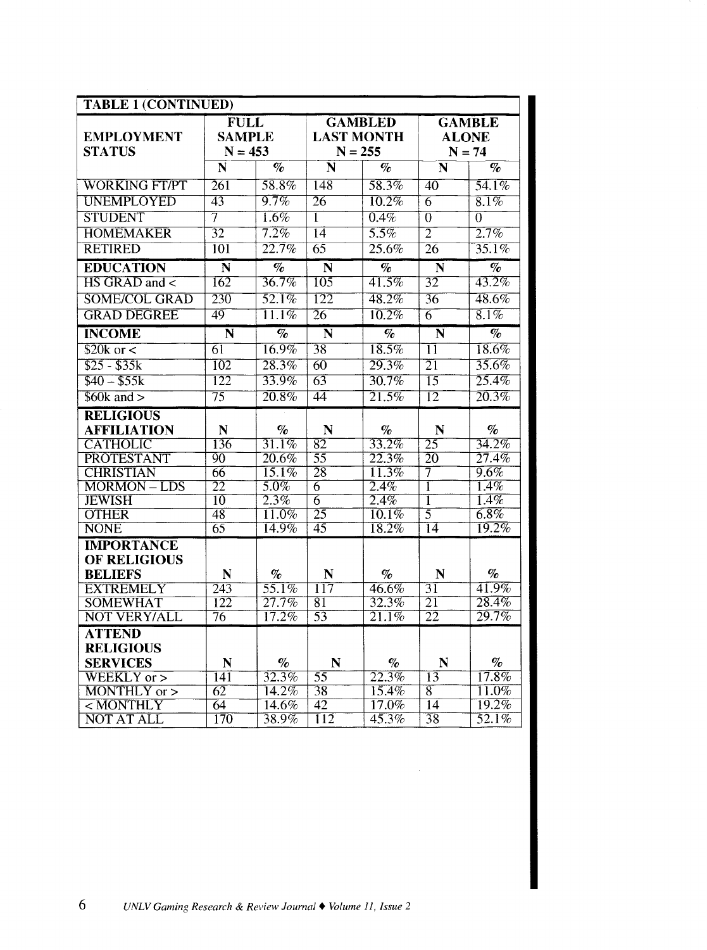| <b>TABLE 1 (CONTINUED)</b>         |                                           |                                 |                                   |                                 |                         |                              |
|------------------------------------|-------------------------------------------|---------------------------------|-----------------------------------|---------------------------------|-------------------------|------------------------------|
| <b>EMPLOYMENT</b><br><b>STATUS</b> | <b>FULL</b><br><b>SAMPLE</b><br>$N = 453$ |                                 | <b>LAST MONTH</b><br>$N = 255$    | <b>GAMBLED</b>                  | <b>ALONE</b>            | <b>GAMBLE</b><br>$N = 74$    |
|                                    | $\overline{\mathbf{N}}$                   | $\%$                            | N                                 | $\overline{\mathcal{C}_{0}}$    | $\overline{\bf N}$      | $\overline{\mathcal{C}_{0}}$ |
| <b>WORKING FT/PT</b>               | 261                                       | 58.8%                           | $\overline{148}$                  | 58.3%                           | $\overline{40}$         | 54.1%                        |
| <b>UNEMPLOYED</b>                  | 43                                        | 9.7%                            | $\overline{26}$                   | 10.2%                           | $\overline{6}$          | 8.1%                         |
| <b>STUDENT</b>                     | $\overline{7}$                            | $1.6\%$                         | T                                 | $\overline{0.4\%}$              | $\overline{0}$          | $\overline{0}$               |
| <b>HOMEMAKER</b>                   | $\overline{32}$                           | $7.2\%$                         | $\overline{14}$                   | 5.5%                            | $\overline{2}$          | 2.7%                         |
| <b>RETIRED</b>                     | $\overline{101}$                          | 22.7%                           | $\overline{65}$                   | 25.6%                           | $\overline{26}$         | 35.1%                        |
| <b>EDUCATION</b>                   | $\overline{\mathbf{N}}$                   | $\overline{\mathcal{C}_{0}}$    | $\overline{\bf N}$                | $\overline{\mathcal{C}_{0}}$    | $\overline{\mathbf{N}}$ | $\overline{\mathcal{C}_{0}}$ |
| HS GRAD and <                      | 162                                       | 36.7%                           | 105                               | 41.5%                           | $\overline{32}$         | 43.2%                        |
| <b>SOME/COL GRAD</b>               | 230                                       | $\overline{52.1\%}$             | 122                               | 48.2%                           | $\overline{36}$         | 48.6%                        |
| <b>GRAD DEGREE</b>                 | 49                                        | $\overline{11.1\%}$             | $\overline{26}$                   | 10.2%                           | $\overline{6}$          | $8.1\%$                      |
| <b>INCOME</b>                      | $\overline{\bf N}$                        | $\overline{\mathcal{C}_{\ell}}$ | $\overline{\bf N}$                | $\overline{\mathcal{C}_{\ell}}$ | $\overline{\bf N}$      | $\overline{\mathcal{C}_{0}}$ |
| $$20k$ or <                        | $\overline{61}$                           | $16.9\%$                        | $\overline{38}$                   | 18.5%                           | $\overline{11}$         | $\overline{18.6\%}$          |
| $$25 - $35k$                       | $\overline{102}$                          | 28.3%                           | $\overline{60}$                   | 29.3%                           | $\overline{21}$         | 35.6%                        |
| $$40 - $55k$                       | $\overline{122}$                          | 33.9%                           | $\overline{63}$                   | 30.7%                           | $\overline{15}$         | 25.4%                        |
| $$60k$ and $>$                     | $\overline{75}$                           | 20.8%                           | 44                                | 21.5%                           | $\overline{12}$         | 20.3%                        |
| <b>RELIGIOUS</b>                   |                                           |                                 |                                   |                                 |                         |                              |
| <b>AFFILIATION</b>                 | $\mathbf N$                               | $\%$                            | $\mathbf N$                       | $\%$                            | ${\bf N}$               | $\%$                         |
| <b>CATHOLIC</b>                    | 136                                       | 31.1%                           | $\overline{82}$                   | 33.2%                           | 25                      | 34.2%                        |
| PROTESTANT                         | $\overline{90}$                           | 20.6%                           | $\overline{55}$                   | 22.3%                           | $\overline{20}$         | 27.4%                        |
| <b>CHRISTIAN</b>                   | $\overline{66}$                           | 15.1%                           | $\overline{28}$                   | 11.3%                           | 7                       | $9.6\%$                      |
| <b>MORMON-LDS</b>                  | $\overline{2}\overline{2}$                | $5.0\%$                         | $\overline{6}$                    | 2.4%                            | Ī                       | $\overline{1.4\%}$           |
| <b>JEWISH</b><br><b>OTHER</b>      | $\overline{10}$<br>$\overline{48}$        | 2.3%<br>11.0%                   | $\overline{6}$<br>$\overline{25}$ | 2.4%<br>10.1%                   | ī<br>$\overline{5}$     | 1.4%<br>$6.8\%$              |
| <b>NONE</b>                        | $\overline{65}$                           | 14.9%                           | 45                                | 18.2%                           | 14                      | 19.2%                        |
| <b>IMPORTANCE</b>                  |                                           |                                 |                                   |                                 |                         |                              |
| <b>OF RELIGIOUS</b>                |                                           |                                 |                                   |                                 |                         |                              |
| <b>BELIEFS</b>                     | $\mathbf N$                               | $\%$                            | N                                 | $\%$                            | $\mathbf N$             | $\%$                         |
| <b>EXTREMELY</b>                   | 243                                       | 55.1%                           | $\overline{117}$                  | 46.6%                           | $\overline{31}$         | 41.9%                        |
| <b>SOMEWHAT</b>                    | 122                                       | $27.7\%$                        | 81                                | 32.3%                           | $\overline{21}$         | 28.4%                        |
| <b>NOT VERY/ALL</b>                | $\overline{76}$                           | 17.2%                           | $\overline{53}$                   | 21.1%                           | $\overline{22}$         | 29.7%                        |
| <b>ATTEND</b>                      |                                           |                                 |                                   |                                 |                         |                              |
| <b>RELIGIOUS</b>                   |                                           |                                 |                                   |                                 |                         |                              |
| <b>SERVICES</b>                    | N                                         | $\mathcal{O}_0$                 | N                                 | $\%$                            | N                       | $\%$                         |
| $\overline{\text{WEEKLY}}$ or $>$  | $\overline{141}$                          | 32.3%                           | $\overline{55}$                   | 22.3%                           | $\overline{13}$         | $17.8\%$                     |
| MONTHLY or >                       | $\overline{62}$                           | 14.2%                           | 38                                | $15.4\%$                        | $\overline{8}$          | $\overline{11.0\%}$          |
| $\overline{<}$ MONTHLY             | $\overline{64}$                           | 14.6%                           | $\overline{42}$                   | $17.0\%$                        | $\overline{14}$         | 19.2%                        |
| <b>NOT AT ALL</b>                  | $\overline{170}$                          | $\overline{38.9\%}$             | $\overline{112}$                  | 45.3%                           | $\overline{38}$         | 52.1%                        |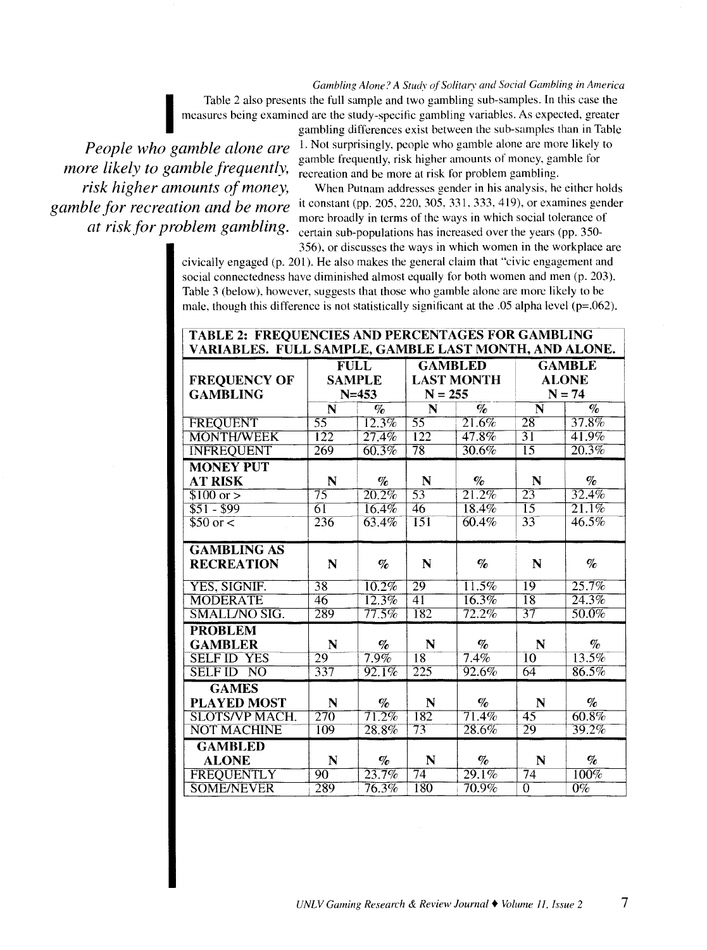*Gambling Alone? A Studv of Solitary and Social Gambling in America* 

Table 2 also presents the full sample and two gambling sub-samples. In this case the<br>measures being examined are the study-specific gambling variables. As expected, greater<br>gambling differences exist between the sub-sample measures being examined are the study-specific gambling variables. As expected, greater

*more likely to gamble frequently, risk higher amounts of money, gamble for recreation and be more at risk for problem gambling.* 

gambling differences exist between the sub-samples than in Table *People who gamble alone are* <sup>1.</sup> Not surprisingly, people who gamble alone are more likely to gamble frequently, risk higher amounts of money, gamble for recreation and be more at risk for problem gambling.

> When Putnam addresses gender in his analysis, he either holds it constant (pp. 205, 220. 305. 331, 333, 419), or examines gender more broadly in terms of the ways in which social tolerance of certain sub-populations has increased over the years (pp. 350-

356), or discusses the ways in which women in the workplace are civically engaged (p. 201). He also makes the general claim that "civic engagement and social connectedness have diminished almost equally for both women and men (p. 203). Table 3 (below). however, suggests that those who gamble alone are more likely to be male, though this difference is not statistically significant at the .05 alpha level ( $p=0.062$ ).

| <b>TABLE 2: FREQUENCIES AND PERCENTAGES FOR GAMBLING</b><br>VARIABLES. FULL SAMPLE, GAMBLE LAST MONTH, AND ALONE. |                                              |                             |                   |          |                                      |                             |
|-------------------------------------------------------------------------------------------------------------------|----------------------------------------------|-----------------------------|-------------------|----------|--------------------------------------|-----------------------------|
|                                                                                                                   | $\overline{\mathrm{FULL}}$<br><b>GAMBLED</b> |                             | <b>GAMBLE</b>     |          |                                      |                             |
| <b>FREQUENCY OF</b>                                                                                               | <b>SAMPLE</b>                                |                             | <b>LAST MONTH</b> |          |                                      | <b>ALONE</b>                |
| <b>GAMBLING</b>                                                                                                   |                                              | $N = 453$                   | $N = 255$         |          |                                      | $N = 74$                    |
|                                                                                                                   | N                                            | $\mathcal{O}_\Omega$        | N<br>$\%$         |          | $\overline{\mathcal{C}_{\ell}}$<br>N |                             |
| <b>FREQUENT</b>                                                                                                   | $\overline{55}$                              | $12.3\%$                    | $\overline{55}$   | 21.6%    | $\overline{28}$                      | 37.8%                       |
| <b>MONTH/WEEK</b>                                                                                                 | $\overline{122}$                             | 27.4%                       | $\overline{122}$  | $47.8\%$ | $\overline{31}$                      | 41.9%                       |
| <b>INFREQUENT</b>                                                                                                 | 269                                          | 60.3%                       | $\overline{78}$   | $30.6\%$ | $\overline{15}$                      | 20.3%                       |
| <b>MONEY PUT</b>                                                                                                  |                                              |                             |                   |          |                                      |                             |
| <b>AT RISK</b>                                                                                                    | N                                            | $\%$                        | N                 | $\%$     | N                                    | $\mathcal{O}_{\mathcal{C}}$ |
| $$100 \text{ or } >$                                                                                              | $\overline{75}$                              | $\overline{20.2\%}$         | $\overline{53}$   | 21.2%    | $\overline{23}$                      | 32.4%                       |
| $$51 - $99$                                                                                                       | 61                                           | $16.4\%$                    | 46                | 18.4%    | $\overline{15}$                      | 21.1%                       |
| $$50$ or $<$                                                                                                      | 236                                          | 63.4%                       | $\overline{151}$  | $60.4\%$ | 33                                   | $46.5\%$                    |
| <b>GAMBLING AS</b>                                                                                                |                                              |                             |                   |          |                                      |                             |
| <b>RECREATION</b>                                                                                                 | N                                            | $\mathcal{O}_{\mathcal{O}}$ | N                 | $\%$     | N                                    | $\%$                        |
| YES, SIGNIF.                                                                                                      | $\overline{38}$                              | 10.2%                       | $\overline{29}$   | 11.5%    | 19                                   | 25.7%                       |
| <b>MODERATE</b>                                                                                                   | 46                                           | 12.3%                       | $\overline{41}$   | $16.3\%$ | $\overline{18}$                      | 24.3%                       |
| SMALL/NO SIG.                                                                                                     | 289                                          | 77.5%                       | 182               | $72.2\%$ | $\overline{37}$                      | $50.0\%$                    |
| <b>PROBLEM</b>                                                                                                    |                                              |                             |                   |          |                                      |                             |
| <b>GAMBLER</b>                                                                                                    | N                                            | $\%$                        | N                 | $\%$     | N                                    | $\mathbf{\%}$               |
| <b>SELF ID YES</b>                                                                                                | 29                                           | $7.9\%$                     | 18                | 7.4%     | $\overline{10}$                      | 13.5%                       |
| <b>SELF ID</b><br>$\overline{N}$                                                                                  | 337                                          | $92.1\%$                    | 225               | 92.6%    | $\overline{64}$                      | 86.5%                       |
| <b>GAMES</b>                                                                                                      |                                              |                             |                   |          |                                      |                             |
| <b>PLAYED MOST</b>                                                                                                | N                                            | $\%$                        | N                 | $\%$     | N                                    | $\%$                        |
| <b>SLOTS/VP MACH.</b>                                                                                             | $\overline{270}$                             | 71.2%                       | 182               | 71.4%    | $\overline{45}$                      | 60.8%                       |
| <b>NOT MACHINE</b>                                                                                                | 109                                          | 28.8%                       | $\overline{73}$   | 28.6%    | 29                                   | 39.2%                       |
| <b>GAMBLED</b>                                                                                                    |                                              |                             |                   |          |                                      |                             |
| <b>ALONE</b>                                                                                                      | N                                            | $\%$                        | N                 | $\%$     | N                                    | $\%$                        |
| FREQUENTLY                                                                                                        | 90                                           | 23.7%                       | $\overline{74}$   | 29.1%    | $\overline{74}$                      | $100\%$                     |
| <b>SOME/NEVER</b>                                                                                                 | 289                                          | 76.3%                       | $\overline{180}$  | $70.9\%$ | $\overline{0}$                       | $\overline{0}\%$            |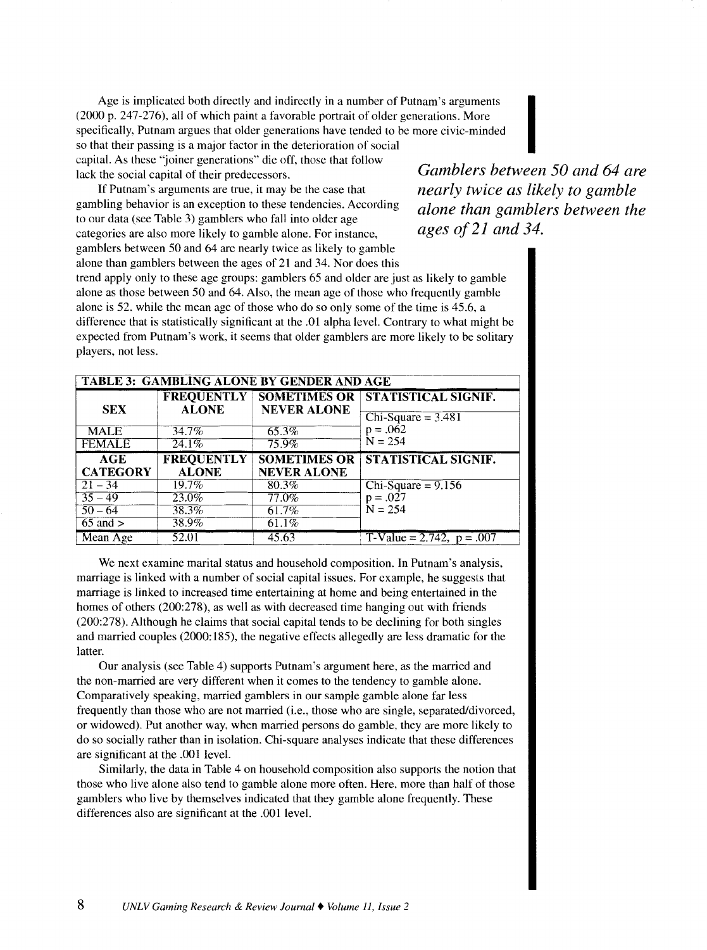Age is implicated both directly and indirectly in a number of Putnam's arguments (2000 p. 247-276), all of which paint a favorable portrait of older generations. More specifically. Putnam argues that older generations have tended to be more civic-minded (2000 p. 247-276), all of which paint a favorable portrait of older generations. More<br>specifically, Putnam argues that older generations have tended to be more civic-minded<br>so that their passing is a major factor in the d capital. As these "joiner generations" die off, those that follow lack the social capital of their predecessors.

If Putnam's arguments are true, it may be the case that gambling behavior is an exception to these tendencies. According to our data (see Table 3) gamblers who fall into older age categories are also more likely to gamble alone. For instance, gamblers between 50 and 64 are nearly twice as likely to gamble alone than gamblers between the ages of 21 and 34. Nor does this *Gamblers between 50 and 64 are nearly twice as likely to gamble alone than gamblers between the ages of21 and 34.* 

trend apply only to these age groups: gamblers 65 and older are just as likely to gamble alone as those between 50 and 64. Also, the mean age of those who frequently gamble alone is 52. while the mean age of those who do so only some of the time is 45.6, a difference that is statistically significant at the .01 alpha level. Contrary to what might be expected from Putnam's work, it seems that older gamblers are more likely to be solitary players, not less.

| <b>TABLE 3: GAMBLING ALONE BY GENDER AND AGE</b> |                     |                     |                              |  |
|--------------------------------------------------|---------------------|---------------------|------------------------------|--|
| <b>SEX</b>                                       | <b>FREQUENTLY</b>   | <b>SOMETIMES OR</b> | STATISTICAL SIGNIF.          |  |
|                                                  | <b>ALONE</b>        | <b>NEVER ALONE</b>  | Chi-Square $=$ 3.481         |  |
| <b>MALE</b>                                      | 34.7%               | $65.3\%$            | $p = .062$                   |  |
| <b>FEMALE</b>                                    | $24.1\%$            | $\overline{75.9\%}$ | $N = 254$                    |  |
| AGE                                              | <b>FREQUENTLY</b>   | <b>SOMETIMES OR</b> | STATISTICAL SIGNIF.          |  |
| <b>CATEGORY</b>                                  | <b>ALONE</b>        | <b>NEVER ALONE</b>  |                              |  |
| $21 - 34$                                        | $19.7\%$            | 80.3%               | $Chi-Square = 9.156$         |  |
| $35 - 49$                                        | $23.0\%$            | 77.0%               | $p = .027$                   |  |
| $50 - 64$                                        | 38.3%               | 61.7%               | $N = 254$                    |  |
| $65$ and $>$                                     | $\overline{38.9\%}$ | $61.1\%$            | T-Value = $2.742$ , p = .007 |  |
| Mean Age                                         | 52.01               | 45.63               |                              |  |

We next examine marital status and household composition. In Putnam's analysis, marriage is linked with a number of social capital issues. For example, he suggests that marriage is linked to increased time entertaining at home and being entertained in the homes of others (200:278), as well as with decreased time hanging out with friends (200:278). Although he claims that social capital tends to be declining for both singles and married couples (2000: 185), the negative effects allegedly are less dramatic for the latter.

Our analysis (see Table 4) supports Putnam's argument here, as the married and the non-married are very different when it comes to the tendency to gamble alone. Comparatively speaking, married gamblers in our sample gamble alone far less frequently than those who are not married (i.e., those who are single, separated/divorced, or widowed). Put another way, when married persons do gamble, they are more likely to do so socially rather than in isolation. Chi-square analyses indicate that these differences are significant at the .001 level.

Similarly, the data in Table 4 on household composition also supports the notion that those who live alone also tend to gamble alone more often. Here. more than half of those gamblers who live by themselves indicated that they gamble alone frequently. These differences also are significant at the .001 level.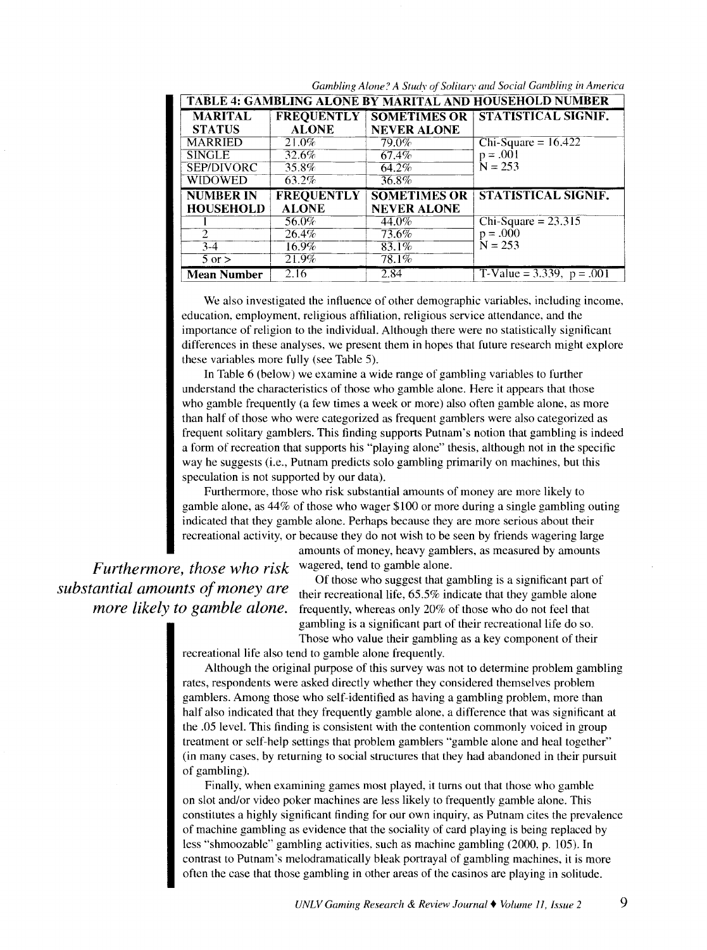| <b>TABLE 4: GAMBLING ALONE BY MARITAL AND HOUSEHOLD NUMBER</b> |                   |                     |                       |  |  |
|----------------------------------------------------------------|-------------------|---------------------|-----------------------|--|--|
| <b>MARITAL</b>                                                 | <b>FREQUENTLY</b> | <b>SOMETIMES OR</b> | STATISTICAL SIGNIF.   |  |  |
| <b>STATUS</b>                                                  | <b>ALONE</b>      | <b>NEVER ALONE</b>  |                       |  |  |
| <b>MARRIED</b>                                                 | 21.0%             | 79.0%               | $Chi-Square = 16.422$ |  |  |
| <b>SINGLE</b>                                                  | 32.6%             | 67.4%               | $p = .001$            |  |  |
| SEP/DIVORC                                                     | 35.8%             | $64.2\%$            | $N = 253$             |  |  |
| <b>WIDOWED</b>                                                 | $63.2\%$          | 36.8%               |                       |  |  |
|                                                                |                   |                     |                       |  |  |
| <b>NUMBER IN</b>                                               | <b>FREQUENTLY</b> | <b>SOMETIMES OR</b> | STATISTICAL SIGNIF.   |  |  |
| <b>HOUSEHOLD</b>                                               | <b>ALONE</b>      | <b>NEVER ALONE</b>  |                       |  |  |
|                                                                | .56.0%            | 44.0%               | $Chi-Square = 23.315$ |  |  |
| $\overline{2}$                                                 | 26.4%             | 73.6%               | $p = .000$            |  |  |
| $3-4$                                                          | $16.9\%$          | $83.1\%$            | $N = 253$             |  |  |
| $5 \text{ or } >$                                              | 21.9%             | 78.1%               |                       |  |  |

Gambling Alone? A Study of Solitary and Social Gambling in America

We also investigated the influence of other demographic variables. including income. education. employment, religious affiliation, religious service attendance. and the importance of religion to the individual. Although there were no statistically significant differences in these analyses, we present them in hopes that future research might explore these variables more fully (see Table 5).

In Table 6 (below) we examine a wide range of gambling variables to further understand the characteristics of those who gamble alone. Here it appears that those who gamble frequently (a few times a week or more) also often gamble alone, as more than half of those who were categorized as frequent gamblers were also categorized as frequent solitary gamblers. This finding supports Putnam's notion that gambling is indeed a form of recreation that supports his "playing alone" thesis, although not in the specific way he suggests (i.e., Putnam predicts solo gambling primarily on machines, but this speculation is not supported by our data).

Furthermore, those who risk substantial amounts of money are more likely to gamble alone, as 44% of those who wager \$100 or more during a single gambling outing indicated that they gamble alone. Perhaps because they are more serious about their recreational activity, or because they do not wish to be seen by friends wagering large amounts of money, heavy gamblers, as measured by amounts

*Furthermore, those who risk substantial amounts of money are more likely to gamble alone.* 

wagered, tend to gamble alone.

Of those who suggest that gambling is a significant part of their recreational life, 65.5% indicate that they gamble alone frequently, whereas only 20% of those who do not feel that gambling is a significant part of their recreational life do so. Those who value their gambling as a key component of their

recreational life also tend to gamble alone frequently.

Although the original purpose of this survey was not to determine problem gambling rates, respondents were asked directly whether they considered themselves problem gamblers. Among those who self-identified as having a gambling problem, more than half also indicated that they frequently gamble alone, a difference that was significant at the .05 level. This finding is consistent with the contention commonly voiced in group treatment or self-help settings that problem gamblers "gamble alone and heal together" (in many cases. by returning to social structures that they had abandoned in their pursuit of gambling).

Finally, when examining games most played, it turns out that those who gamble on slot and/or video poker machines are less likely to frequently gamble alone. This constitutes a highly significant finding for our own inquiry, as Putnam cites the prevalence of machine gambling as evidence that the sociality of card playing is being replaced by less "shmoozable" gambling activities, such as machine gambling (2000, p. 105). In contrast to Putnam's melodramatically bleak portrayal of gambling machines, it is more often the case that those gambling in other areas of the casinos are playing in solitude.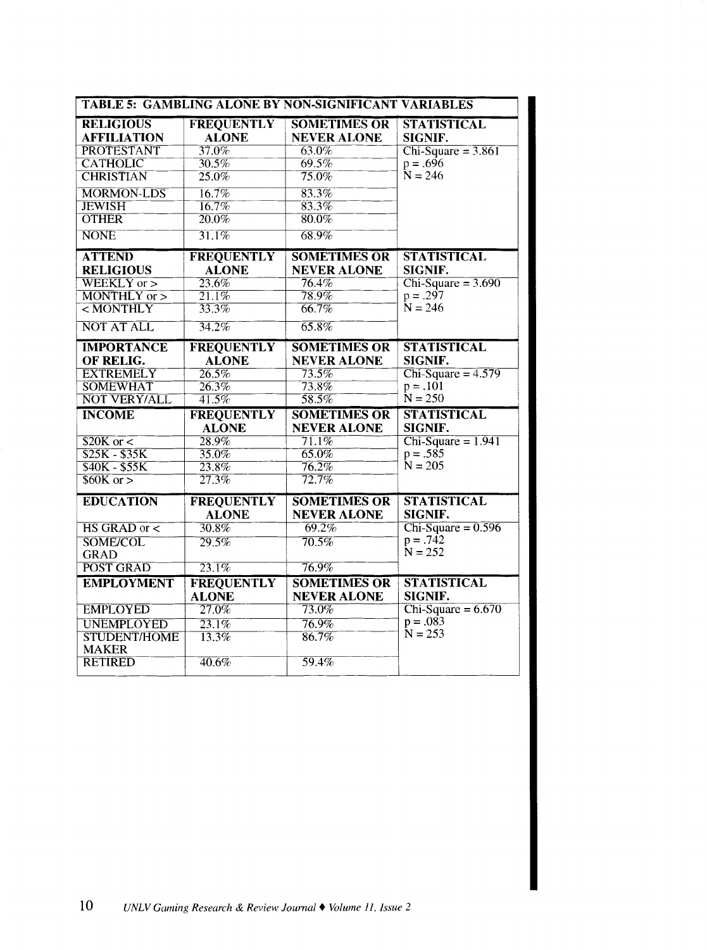|                                        |                                   | <b>TABLE 5: GAMBLING ALONE BY NON-SIGNIFICANT VARIABLES</b> |                               |
|----------------------------------------|-----------------------------------|-------------------------------------------------------------|-------------------------------|
| <b>RELIGIOUS</b><br><b>AFFILIATION</b> | <b>FREQUENTLY</b><br><b>ALONE</b> | <b>SOMETIMES OR</b><br><b>NEVER ALONE</b>                   | <b>STATISTICAL</b><br>SIGNIF. |
| <b>PROTESTANT</b>                      | 37.0%                             | 63.0%                                                       | $Chi-Square = 3.861$          |
| <b>CATHOLIC</b>                        | 30.5%                             | 69.5%                                                       | $p = .696$                    |
| <b>CHRISTIAN</b>                       | 25.0%                             | 75.0%                                                       | $N = 246$                     |
| <b>MORMON-LDS</b>                      | 16.7%                             | 83.3%                                                       |                               |
| <b>JEWISH</b>                          | 16.7%                             | 83.3%                                                       |                               |
| <b>OTHER</b>                           | 20.0%                             | 80.0%                                                       |                               |
| <b>NONE</b>                            | 31.1%                             | 68.9%                                                       |                               |
| <b>ATTEND</b>                          | <b>FREQUENTLY</b>                 | <b>SOMETIMES OR</b>                                         | <b>STATISTICAL</b>            |
| <b>RELIGIOUS</b>                       | <b>ALONE</b>                      | <b>NEVER ALONE</b>                                          | SIGNIF.                       |
| $WEEKLY$ or $>$                        | 23.6%                             | $76.4\%$                                                    | $Chi-Square = 3.690$          |
| $MONTHLY$ or $>$                       | 21.1%                             | 78.9%                                                       | $p = .297$                    |
| $<$ MONTHLY                            | 33.3%                             | 66.7%                                                       | $N = 246$                     |
| <b>NOT AT ALL</b>                      | 34.2%                             | 65.8%                                                       |                               |
| <b>IMPORTANCE</b>                      | <b>FREQUENTLY</b>                 | <b>SOMETIMES OR</b>                                         | <b>STATISTICAL</b>            |
| OF RELIG.                              | <b>ALONE</b>                      | <b>NEVER ALONE</b>                                          | SIGNIF.                       |
| <b>EXTREMELY</b>                       | 26.5%                             | $73.5\%$                                                    | $Chi-Square = 4.579$          |
| <b>SOMEWHAT</b>                        | 26.3%                             | $73.8\%$                                                    | $p = .101$                    |
| <b>NOT VERY/ALL</b>                    | $41.5\%$                          | 58.5%                                                       | $N = 250$                     |
| <b>INCOME</b>                          | <b>FREQUENTLY</b><br><b>ALONE</b> | <b>SOMETIMES OR</b><br><b>NEVER ALONE</b>                   | <b>STATISTICAL</b><br>SIGNIF. |
| \$20K or <                             | 28.9%                             | $71.1\%$                                                    | $Chi-Square = 1.941$          |
| $$25K - $35K$                          | 35.0%                             | 65.0%                                                       | $p = .585$                    |
| $$40K - $55K$                          | 23.8%                             | 76.2%                                                       | $N = 205$                     |
| \$60K or >                             | 27.3%                             | 72.7%                                                       |                               |
| <b>EDUCATION</b>                       | <b>FREQUENTLY</b>                 | <b>SOMETIMES OR</b>                                         | <b>STATISTICAL</b>            |
|                                        | <b>ALONE</b>                      | <b>NEVER ALONE</b>                                          | <b>SIGNIF.</b>                |
| $\overline{HS}$ GRAD or $\lt$          | 30.8%                             | $69.2\%$                                                    | $Chi-Square = 0.596$          |
| <b>SOME/COL</b>                        | 29.5%                             | 70.5%                                                       | $p = .742$<br>$N = 252$       |
| <b>GRAD</b>                            |                                   |                                                             |                               |
| POST GRAD                              | 23.1%                             | 76.9%                                                       |                               |
| <b>EMPLOYMENT</b>                      | <b>FREQUENTLY</b><br><b>ALONE</b> | <b>SOMETIMES OR</b><br><b>NEVER ALONE</b>                   | <b>STATISTICAL</b><br>SIGNIF. |
| <b>EMPLOYED</b>                        | 27.0%                             | 73.0%                                                       | Chi-Square = $6.670$          |
| <b>UNEMPLOYED</b>                      | 23.1%                             | 76.9%                                                       | $p = .083$                    |
| <b>STUDENT/HOME</b><br><b>MAKER</b>    | 13.3%                             | 86.7%                                                       | $N = 253$                     |
| <b>RETIRED</b>                         | $40.6\%$                          | 59.4%                                                       |                               |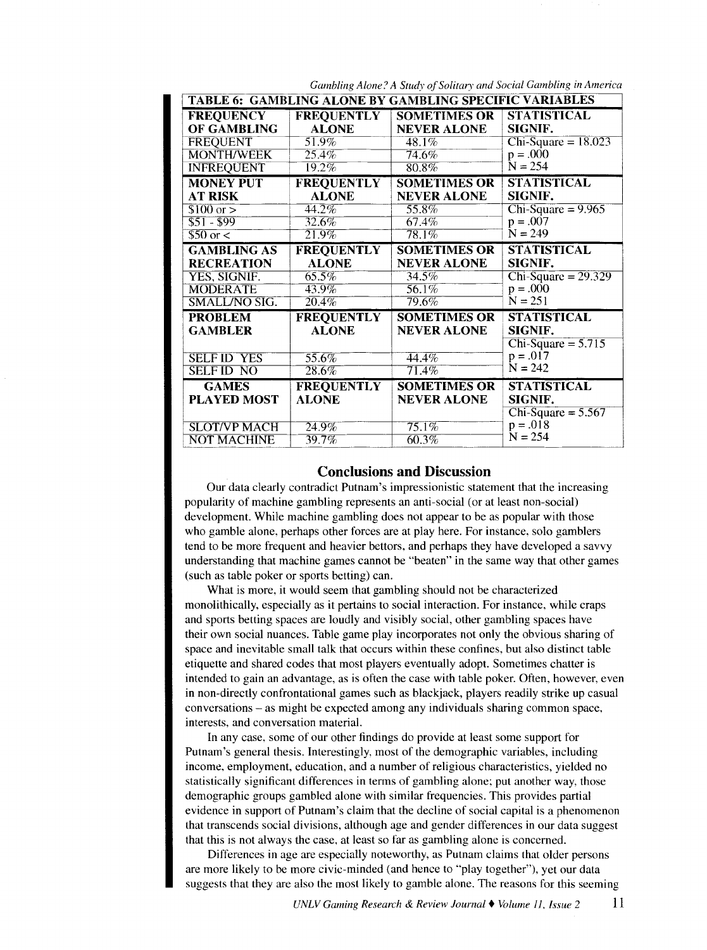|                      |                     | <b>TABLE 6: GAMBLING ALONE BY GAMBLING SPECIFIC VARIABLES</b> |                         |
|----------------------|---------------------|---------------------------------------------------------------|-------------------------|
| FREQUENCY            |                     | <b>FREQUENTLY   SOMETIMES OR  </b>                            | <b>STATISTICAL</b>      |
| OF GAMBLING          | <b>ALONE</b>        | <b>NEVER ALONE</b>                                            | SIGNIF.                 |
| <b>FREQUENT</b>      | $51.9\%$            | 48.1%                                                         | $Chi-Square = 18.023$   |
| <b>MONTH/WEEK</b>    | $25.4\%$            | $74.6\%$                                                      | $p = .000$              |
| <b>INFREQUENT</b>    | $19.2\%$            | $80.8\%$                                                      | $N = 254$               |
| <b>MONEY PUT</b>     | <b>FREQUENTLY</b>   | <b>SOMETIMES OR</b>                                           | <b>STATISTICAL</b>      |
| <b>AT RISK</b>       | <b>ALONE</b>        | <b>NEVER ALONE</b>                                            | SIGNIF.                 |
| $$100 \text{ or } >$ | $44.2\%$            | $55.8\%$                                                      | $Chi-Square = 9.965$    |
| $$51 - $99$          | $32.6\%$            | 67.4%                                                         | $p = .007$              |
| $$50 \text{ or } 5$  | $21.9\%$            | 78.1%                                                         | $N = 249$               |
| <b>GAMBLING AS</b>   | <b>FREQUENTLY</b>   | <b>SOMETIMES OR</b>                                           | <b>STATISTICAL</b>      |
| <b>RECREATION</b>    | <b>ALONE</b>        | <b>NEVER ALONE</b>                                            | <b>SIGNIF.</b>          |
| YES, SIGNIF.         | $65.5\%$            | 34.5%                                                         | $Chi-Square = 29.329$   |
| <b>MODERATE</b>      | $43.9\%$            | 56.1%                                                         | $p = .000$              |
| <b>SMALL/NO SIG.</b> | $\overline{20.4\%}$ | 79.6%                                                         | $N = 251$               |
| <b>PROBLEM</b>       | <b>FREQUENTLY</b>   | <b>SOMETIMES OR</b>                                           | <b>STATISTICAL</b>      |
| <b>GAMBLER</b>       | <b>ALONE</b>        | <b>NEVER ALONE</b>                                            | SIGNIF.                 |
|                      |                     |                                                               | $Chi-Square = 5.715$    |
| <b>SELF ID YES</b>   | $55.6\%$            | $44.4\%$                                                      | $p = .017$              |
| <b>SELFID NO</b>     | $\overline{28.6\%}$ | $71.4\%$                                                      | $N = 242$               |
| <b>GAMES</b>         | <b>FREQUENTLY</b>   | <b>SOMETIMES OR</b>                                           | <b>STATISTICAL</b>      |
|                      | <b>ALONE</b>        | <b>NEVER ALONE</b>                                            | SIGNIF.                 |
| <b>PLAYED MOST</b>   |                     |                                                               |                         |
|                      |                     |                                                               | Chi-Square = $5.567$    |
| <b>SLOT/VP MACH</b>  | 24.9%               | $75.1\%$                                                      | $p = .018$<br>$N = 254$ |

Gambling Alone? A Study of Solitary and Social Gambling in America

## **Conclusions and Discussion**

Our data clearly contradict Putnam's impressionistic statement that the increasing popularity of machine gambling represents an anti-social (or at least non-social) development. While machine gambling does not appear to be as popular with those who gamble alone, perhaps other forces are at play here. For instance. solo gamblers tend to be more frequent and heavier bettors, and perhaps they have developed a savvy understanding that machine games cannot be "beaten" in the same way that other games (such as table poker or sports betting) can.

What is more, it would seem that gambling should not be characterized monolithically, especially as it pertains to social interaction. For instance, while craps and sports betting spaces are loudly and visibly social, other gambling spaces have their own social nuances. Table game play incorporates not only the obvious sharing of space and inevitable small talk that occurs within these confines, but also distinct table etiquette and shared codes that most players eventually adopt. Sometimes chatter is intended to gain an advantage, as is often the case with table poker. Often, however, even in non-directly confrontational games such as blackjack, players readily strike up casual conversations -as might be expected among any individuals sharing common space, interests, and conversation material.

In any case, some of our other findings do provide at least some support for Putnam's general thesis. Interestingly, most of the demographic variables, including income. employment, education, and a number of religious characteristics, yielded no statistically significant differences in terms of gambling alone; put another way, those demographic groups gambled alone with similar frequencies. This provides partial evidence in support of Putnam's claim that the decline of social capital is a phenomenon that transcends social divisions, although age and gender differences in our data suggest that this is not always the case, at least so far as gambling alone is concerned.

Differences in age are especially noteworthy, as Putnam claims that older persons are more likely to be more civic-minded (and hence to "play together"), yet our data suggests that they are also the most likely to gamble alone. The reasons for this seeming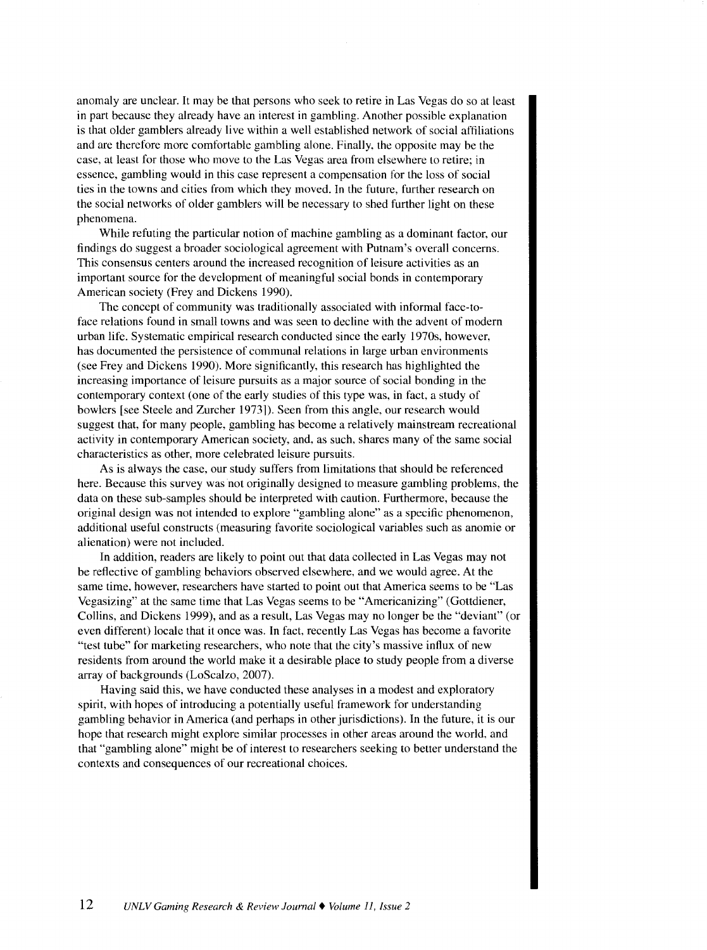anomaly are unclear. It may be that persons who seek to retire in Las Vegas do so at least in part because they already have an interest in gambling. Another possible explanation is that older gamblers already live within a well established network of social affiliations and are therefore more comfortable gambling alone. Finally, the opposite may be the case, at least for those who move to the Las Vegas area from elsewhere to retire; in essence, gambling would in this case represent a compensation for the loss of social ties in the towns and cities from which they moved. In the future, further research on the social networks of older gamblers will be necessary to shed further light on these phenomena.

While refuting the particular notion of machine gambling as a dominant factor, our findings do suggest a broader sociological agreement with Putnam's overall concerns. This consensus centers around the increased recognition of leisure activities as an important source for the development of meaningful social bonds in contemporary American society (Frey and Dickens 1990).

The concept of community was traditionally associated with informal face-toface relations found in small towns and was seen to decline with the advent of modern urban life. Systematic empirical research conducted since the early 1970s, however, has documented the persistence of communal relations in large urban environments (see Frey and Dickens 1990). More significantly, this research has highlighted the increasing importance of leisure pursuits as a major source of social bonding in the contemporary context (one of the early studies of this type was, in fact, a study of bowlers [see Steele and Zurcher 19731). Seen from this angle, our research would suggest that, for many people, gambling has become a relatively mainstream recreational activity in contemporary American society, and, as such, shares many of the same social characteristics as other, more celebrated leisure pursuits.

As is always the case, our study suffers from limitations that should be referenced here. Because this survey was not originally designed to measure gambling problems, the data on these sub-samples should be interpreted with caution. Furthermore, because the original design was not intended to explore "gambling alone" as a specific phenomenon, additional useful constructs (measuring favorite sociological variables such as anomie or alienation) were not included.

In addition, readers are likely to point out that data collected in Las Vegas may not be reflective of gambling behaviors observed elsewhere, and we would agree. At the same time. however, researchers have started to point out that America seems to be "Las Vegasizing" at the same time that Las Vegas seems to be "Americanizing" (Gottdiener, Collins, and Dickens 1999), and as a result, Las Vegas may no longer be the "deviant" (or even different) locale that it once was. In fact, recently Las Vegas has become a favorite "test tube" for marketing researchers, who note that the city's massive influx of new residents from around the world make it a desirable place to study people from a diverse array of backgrounds (LoScalzo, 2007).

Having said this, we have conducted these analyses in a modest and exploratory spirit, with hopes of introducing a potentially useful framework for understanding gambling behavior in America (and perhaps in other jurisdictions). In the future, it is our hope that research might explore similar processes in other areas around the world, and that "gambling alone" might be of interest to researchers seeking to better understand the contexts and consequences of our recreational choices.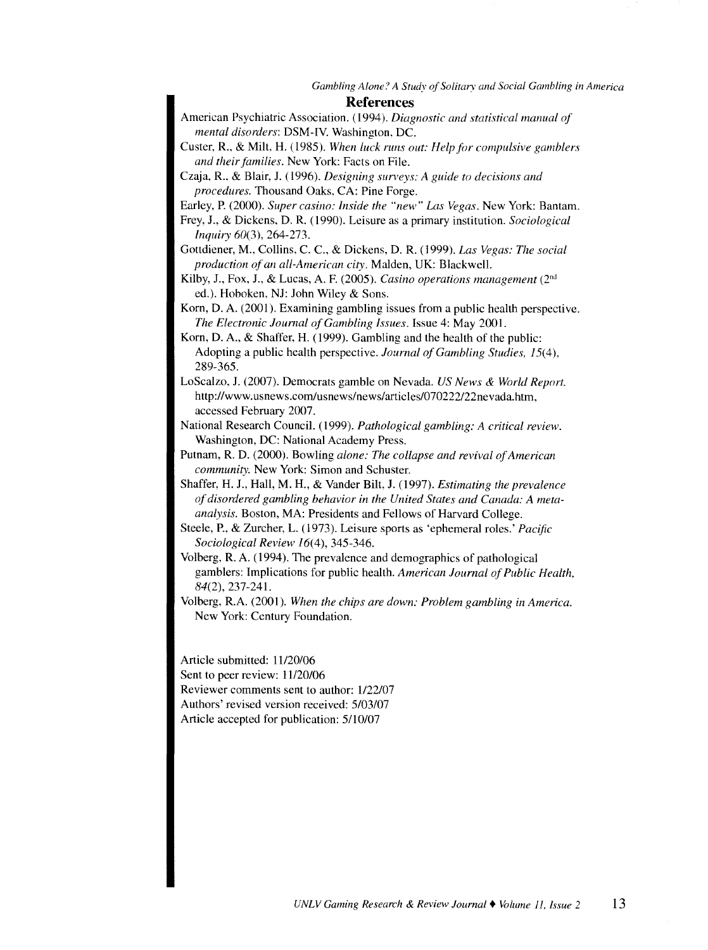#### **References**

- American Psychiatric Association. ( 1994 ). *Diagnostic and statistical manual of mental disorders:* DSM-IV. Washington. DC.
- Custer, R., & Milt, H. (1985). When luck runs out: Help for compulsive gamblers *and their families.* New York: Facts on File.
- Czaja, R.. & Blair, J. (1996). *Designing sun•eys: A guide to decisions and procedures.* Thousand Oaks. CA: Pine Forge.
- Earley, P. (2000). *Super casino: Inside the "new" Las Vegas.* New York: Bantam.
- Frey, *1.,* & Dickens. D. R. (1990). Leisure as a primary institution. *Sociological Inquiry* 60(3), 264-273.
- Gottdiener, M., Collins, C. C., & Dickens, D. R. (1999). *Las Vegas: The social production of an all-American city.* Malden, UK: BlackwelL
- Kilby, J., Fox, J., & Lucas, A. F. (2005). *Casino operations management* (2<sup>nd</sup>) ed.). Hoboken, NJ: John Wiley & Sons.
- Korn, D. A. (2001). Examining gambling issues from a public health perspective. *The Electronic Joumal of Gambling Issues.* Issue 4: May 2001.
- Korn. D. A., & Shaffer. H. (1999). Gambling and the health of the public: Adopting a public health perspective. *Journal of Gambling Studies,* 15(4), 289-365.
- LoScalzo, J. (2007). Democrats gamble on Nevada. *US News* & *World Report.*  http://www. usnews.corn/usnews/news/articles/070222/22nevada.htm, accessed February 2007.
- National Research CounciL (1999). *Pathological gambling: A critical review.*  Washington, DC: National Academy Press.
- Putnam, R. D. (2000). Bowling *alone: The collapse and revival of American community.* New York: Simon and Schuster.
- Shaffer, H. J., Hall, M. H., & Vander Bilt, J. (1997). *Estimating the prevalence of disordered gambling behavior in the United States and Canada: A metaanalysis.* Boston, MA: Presidents and Fellows of Harvard College.
- Steele, P., & Zurcher, L. (1973). Leisure sports as 'ephemeral roles.' *Pacific Sociological Review* 16(4), 345-346.
- Volberg, R. A. (1994). The prevalence and demographics of pathological gamblers: Implications for public health. *American Journal of Public Health,*  84(2), 237-241.
- Volberg, R.A. (2001). When the chips are down: Problem gambling in America. New York: Century Foundation.

Article submitted: 11120/06 Sent to peer review: 11/20/06 Reviewer comments sent to author: 1/22/07 Authors' revised version received: 5/03/07 Article accepted for publication: 5/10/07